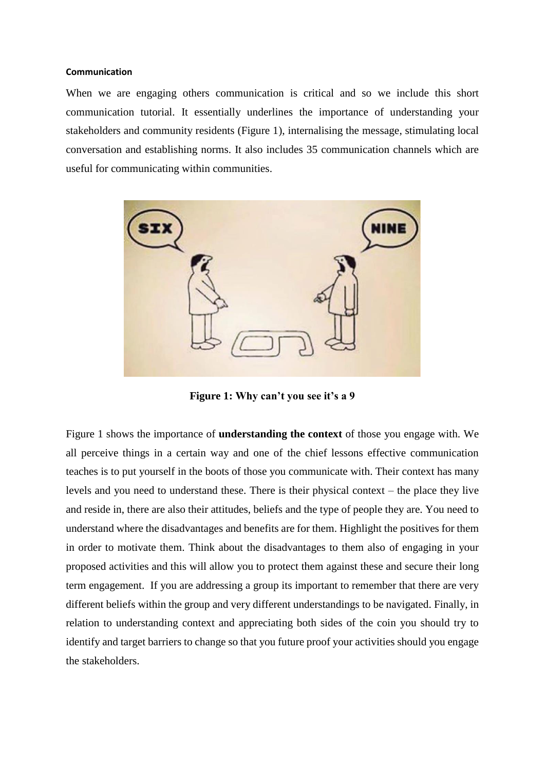## **Communication**

When we are engaging others communication is critical and so we include this short communication tutorial. It essentially underlines the importance of understanding your stakeholders and community residents (Figure 1), internalising the message, stimulating local conversation and establishing norms. It also includes 35 communication channels which are useful for communicating within communities.



**Figure 1: Why can't you see it's a 9**

Figure 1 shows the importance of **understanding the context** of those you engage with. We all perceive things in a certain way and one of the chief lessons effective communication teaches is to put yourself in the boots of those you communicate with. Their context has many levels and you need to understand these. There is their physical context – the place they live and reside in, there are also their attitudes, beliefs and the type of people they are. You need to understand where the disadvantages and benefits are for them. Highlight the positives for them in order to motivate them. Think about the disadvantages to them also of engaging in your proposed activities and this will allow you to protect them against these and secure their long term engagement. If you are addressing a group its important to remember that there are very different beliefs within the group and very different understandings to be navigated. Finally, in relation to understanding context and appreciating both sides of the coin you should try to identify and target barriers to change so that you future proof your activities should you engage the stakeholders.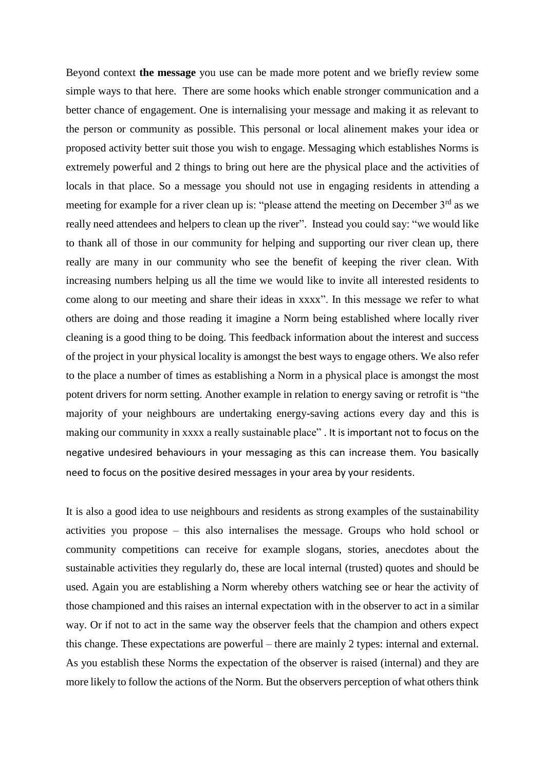Beyond context **the message** you use can be made more potent and we briefly review some simple ways to that here. There are some hooks which enable stronger communication and a better chance of engagement. One is internalising your message and making it as relevant to the person or community as possible. This personal or local alinement makes your idea or proposed activity better suit those you wish to engage. Messaging which establishes Norms is extremely powerful and 2 things to bring out here are the physical place and the activities of locals in that place. So a message you should not use in engaging residents in attending a meeting for example for a river clean up is: "please attend the meeting on December 3<sup>rd</sup> as we really need attendees and helpers to clean up the river". Instead you could say: "we would like to thank all of those in our community for helping and supporting our river clean up, there really are many in our community who see the benefit of keeping the river clean. With increasing numbers helping us all the time we would like to invite all interested residents to come along to our meeting and share their ideas in xxxx". In this message we refer to what others are doing and those reading it imagine a Norm being established where locally river cleaning is a good thing to be doing. This feedback information about the interest and success of the project in your physical locality is amongst the best ways to engage others. We also refer to the place a number of times as establishing a Norm in a physical place is amongst the most potent drivers for norm setting. Another example in relation to energy saving or retrofit is "the majority of your neighbours are undertaking energy-saving actions every day and this is making our community in xxxx a really sustainable place" . It is important not to focus on the negative undesired behaviours in your messaging as this can increase them. You basically need to focus on the positive desired messages in your area by your residents.

It is also a good idea to use neighbours and residents as strong examples of the sustainability activities you propose – this also internalises the message. Groups who hold school or community competitions can receive for example slogans, stories, anecdotes about the sustainable activities they regularly do, these are local internal (trusted) quotes and should be used. Again you are establishing a Norm whereby others watching see or hear the activity of those championed and this raises an internal expectation with in the observer to act in a similar way. Or if not to act in the same way the observer feels that the champion and others expect this change. These expectations are powerful – there are mainly 2 types: internal and external. As you establish these Norms the expectation of the observer is raised (internal) and they are more likely to follow the actions of the Norm. But the observers perception of what others think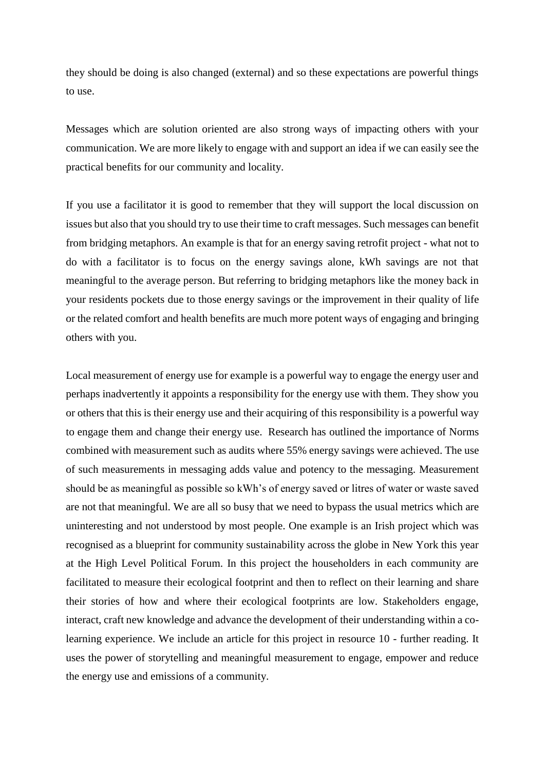they should be doing is also changed (external) and so these expectations are powerful things to use.

Messages which are solution oriented are also strong ways of impacting others with your communication. We are more likely to engage with and support an idea if we can easily see the practical benefits for our community and locality.

If you use a facilitator it is good to remember that they will support the local discussion on issues but also that you should try to use their time to craft messages. Such messages can benefit from bridging metaphors. An example is that for an energy saving retrofit project - what not to do with a facilitator is to focus on the energy savings alone, kWh savings are not that meaningful to the average person. But referring to bridging metaphors like the money back in your residents pockets due to those energy savings or the improvement in their quality of life or the related comfort and health benefits are much more potent ways of engaging and bringing others with you.

Local measurement of energy use for example is a powerful way to engage the energy user and perhaps inadvertently it appoints a responsibility for the energy use with them. They show you or others that this is their energy use and their acquiring of this responsibility is a powerful way to engage them and change their energy use. Research has outlined the importance of Norms combined with measurement such as audits where 55% energy savings were achieved. The use of such measurements in messaging adds value and potency to the messaging. Measurement should be as meaningful as possible so kWh's of energy saved or litres of water or waste saved are not that meaningful. We are all so busy that we need to bypass the usual metrics which are uninteresting and not understood by most people. One example is an Irish project which was recognised as a blueprint for community sustainability across the globe in New York this year at the High Level Political Forum. In this project the householders in each community are facilitated to measure their ecological footprint and then to reflect on their learning and share their stories of how and where their ecological footprints are low. Stakeholders engage, interact, craft new knowledge and advance the development of their understanding within a colearning experience. We include an article for this project in resource 10 - further reading. It uses the power of storytelling and meaningful measurement to engage, empower and reduce the energy use and emissions of a community.